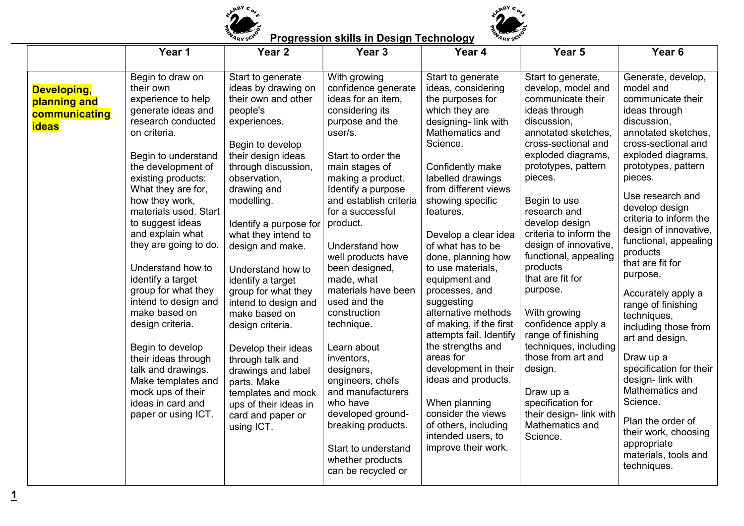

## ARBY CO. q<sub>by</sub>c

## **Progression skills in Design Technology**

| Begin to draw on<br>Start to generate<br>With growing<br>Start to generate<br>Start to generate,<br>Generate, develop,<br>model and<br>their own<br>ideas by drawing on<br>confidence generate<br>ideas, considering<br>develop, model and<br>Developing,<br>their own and other<br>ideas for an item,<br>the purposes for<br>communicate their<br>experience to help<br>communicate their<br>planning and<br>generate ideas and<br>considering its<br>which they are<br>people's<br>ideas through<br>ideas through<br>communicating<br>research conducted<br>purpose and the<br>designing-link with<br>discussion,<br>discussion,<br>experiences.<br><b>ideas</b><br>Mathematics and<br>user/s.<br>annotated sketches,<br>annotated sketches,<br>on criteria.<br>Science.<br>cross-sectional and<br>cross-sectional and<br>Begin to develop<br>exploded diagrams,<br>exploded diagrams,<br>their design ideas<br>Start to order the<br>Begin to understand<br>prototypes, pattern<br>prototypes, pattern<br>the development of<br>through discussion,<br>main stages of<br>Confidently make<br>observation,<br>labelled drawings<br>pieces.<br>pieces.<br>existing products:<br>making a product.<br>from different views<br>What they are for,<br>drawing and<br>Identify a purpose<br>Use research and<br>showing specific<br>how they work,<br>modelling.<br>and establish criteria<br>Begin to use<br>develop design<br>materials used. Start<br>for a successful<br>features.<br>research and<br>criteria to inform the<br>to suggest ideas<br>develop design<br>product.<br>Identify a purpose for<br>design of innovative,<br>and explain what<br>criteria to inform the<br>what they intend to<br>Develop a clear idea<br>functional, appealing<br>design of innovative,<br>they are going to do.<br>design and make.<br>Understand how<br>of what has to be<br>products<br>functional, appealing<br>done, planning how<br>well products have<br>that are fit for<br>products<br>Understand how to<br>been designed,<br>to use materials,<br>Understand how to<br>purpose.<br>that are fit for<br>identify a target<br>made, what<br>equipment and<br>identify a target<br>group for what they<br>materials have been<br>purpose.<br>processes, and<br>group for what they<br>Accurately apply a<br>intend to design and<br>used and the<br>suggesting<br>intend to design and<br>range of finishing<br>make based on<br>construction<br>alternative methods<br>With growing<br>make based on<br>techniques,<br>confidence apply a<br>technique.<br>of making, if the first<br>design criteria.<br>design criteria.<br>including those from<br>attempts fail. Identify<br>range of finishing<br>art and design.<br>the strengths and<br>techniques, including<br>Learn about<br>Begin to develop<br>Develop their ideas<br>areas for<br>those from art and<br>Draw up a<br>their ideas through<br>inventors,<br>through talk and<br>development in their<br>design.<br>specification for their<br>talk and drawings.<br>designers,<br>drawings and label<br>ideas and products.<br>design- link with<br>Make templates and<br>engineers, chefs<br>parts. Make<br>Mathematics and<br>and manufacturers<br>mock ups of their<br>Draw up a<br>templates and mock<br>Science.<br>ideas in card and<br>who have<br>When planning<br>specification for<br>ups of their ideas in<br>consider the views<br>their design- link with<br>developed ground-<br>paper or using ICT.<br>card and paper or<br>Plan the order of<br>Mathematics and<br>breaking products.<br>of others, including<br>using ICT.<br>their work, choosing<br>intended users, to<br>Science.<br>appropriate<br>improve their work.<br>Start to understand<br>materials, tools and | Year 1 | Year <sub>2</sub> | Year <sub>3</sub> | Year 4 | Year 5 | Year <sub>6</sub> |
|---------------------------------------------------------------------------------------------------------------------------------------------------------------------------------------------------------------------------------------------------------------------------------------------------------------------------------------------------------------------------------------------------------------------------------------------------------------------------------------------------------------------------------------------------------------------------------------------------------------------------------------------------------------------------------------------------------------------------------------------------------------------------------------------------------------------------------------------------------------------------------------------------------------------------------------------------------------------------------------------------------------------------------------------------------------------------------------------------------------------------------------------------------------------------------------------------------------------------------------------------------------------------------------------------------------------------------------------------------------------------------------------------------------------------------------------------------------------------------------------------------------------------------------------------------------------------------------------------------------------------------------------------------------------------------------------------------------------------------------------------------------------------------------------------------------------------------------------------------------------------------------------------------------------------------------------------------------------------------------------------------------------------------------------------------------------------------------------------------------------------------------------------------------------------------------------------------------------------------------------------------------------------------------------------------------------------------------------------------------------------------------------------------------------------------------------------------------------------------------------------------------------------------------------------------------------------------------------------------------------------------------------------------------------------------------------------------------------------------------------------------------------------------------------------------------------------------------------------------------------------------------------------------------------------------------------------------------------------------------------------------------------------------------------------------------------------------------------------------------------------------------------------------------------------------------------------------------------------------------------------------------------------------------------------------------------------------------------------------------------------------------------------------------------------------------------------------------------------------------------------------------------------------------------------------------------------------------------------------------------------------------------------------------------------------------------------------------------------------------------------------|--------|-------------------|-------------------|--------|--------|-------------------|
|                                                                                                                                                                                                                                                                                                                                                                                                                                                                                                                                                                                                                                                                                                                                                                                                                                                                                                                                                                                                                                                                                                                                                                                                                                                                                                                                                                                                                                                                                                                                                                                                                                                                                                                                                                                                                                                                                                                                                                                                                                                                                                                                                                                                                                                                                                                                                                                                                                                                                                                                                                                                                                                                                                                                                                                                                                                                                                                                                                                                                                                                                                                                                                                                                                                                                                                                                                                                                                                                                                                                                                                                                                                                                                                                                         |        |                   |                   |        |        |                   |
|                                                                                                                                                                                                                                                                                                                                                                                                                                                                                                                                                                                                                                                                                                                                                                                                                                                                                                                                                                                                                                                                                                                                                                                                                                                                                                                                                                                                                                                                                                                                                                                                                                                                                                                                                                                                                                                                                                                                                                                                                                                                                                                                                                                                                                                                                                                                                                                                                                                                                                                                                                                                                                                                                                                                                                                                                                                                                                                                                                                                                                                                                                                                                                                                                                                                                                                                                                                                                                                                                                                                                                                                                                                                                                                                                         |        |                   |                   |        |        |                   |
|                                                                                                                                                                                                                                                                                                                                                                                                                                                                                                                                                                                                                                                                                                                                                                                                                                                                                                                                                                                                                                                                                                                                                                                                                                                                                                                                                                                                                                                                                                                                                                                                                                                                                                                                                                                                                                                                                                                                                                                                                                                                                                                                                                                                                                                                                                                                                                                                                                                                                                                                                                                                                                                                                                                                                                                                                                                                                                                                                                                                                                                                                                                                                                                                                                                                                                                                                                                                                                                                                                                                                                                                                                                                                                                                                         |        |                   |                   |        |        |                   |
|                                                                                                                                                                                                                                                                                                                                                                                                                                                                                                                                                                                                                                                                                                                                                                                                                                                                                                                                                                                                                                                                                                                                                                                                                                                                                                                                                                                                                                                                                                                                                                                                                                                                                                                                                                                                                                                                                                                                                                                                                                                                                                                                                                                                                                                                                                                                                                                                                                                                                                                                                                                                                                                                                                                                                                                                                                                                                                                                                                                                                                                                                                                                                                                                                                                                                                                                                                                                                                                                                                                                                                                                                                                                                                                                                         |        |                   |                   |        |        |                   |
|                                                                                                                                                                                                                                                                                                                                                                                                                                                                                                                                                                                                                                                                                                                                                                                                                                                                                                                                                                                                                                                                                                                                                                                                                                                                                                                                                                                                                                                                                                                                                                                                                                                                                                                                                                                                                                                                                                                                                                                                                                                                                                                                                                                                                                                                                                                                                                                                                                                                                                                                                                                                                                                                                                                                                                                                                                                                                                                                                                                                                                                                                                                                                                                                                                                                                                                                                                                                                                                                                                                                                                                                                                                                                                                                                         |        |                   |                   |        |        |                   |
|                                                                                                                                                                                                                                                                                                                                                                                                                                                                                                                                                                                                                                                                                                                                                                                                                                                                                                                                                                                                                                                                                                                                                                                                                                                                                                                                                                                                                                                                                                                                                                                                                                                                                                                                                                                                                                                                                                                                                                                                                                                                                                                                                                                                                                                                                                                                                                                                                                                                                                                                                                                                                                                                                                                                                                                                                                                                                                                                                                                                                                                                                                                                                                                                                                                                                                                                                                                                                                                                                                                                                                                                                                                                                                                                                         |        |                   |                   |        |        |                   |
|                                                                                                                                                                                                                                                                                                                                                                                                                                                                                                                                                                                                                                                                                                                                                                                                                                                                                                                                                                                                                                                                                                                                                                                                                                                                                                                                                                                                                                                                                                                                                                                                                                                                                                                                                                                                                                                                                                                                                                                                                                                                                                                                                                                                                                                                                                                                                                                                                                                                                                                                                                                                                                                                                                                                                                                                                                                                                                                                                                                                                                                                                                                                                                                                                                                                                                                                                                                                                                                                                                                                                                                                                                                                                                                                                         |        |                   |                   |        |        |                   |
|                                                                                                                                                                                                                                                                                                                                                                                                                                                                                                                                                                                                                                                                                                                                                                                                                                                                                                                                                                                                                                                                                                                                                                                                                                                                                                                                                                                                                                                                                                                                                                                                                                                                                                                                                                                                                                                                                                                                                                                                                                                                                                                                                                                                                                                                                                                                                                                                                                                                                                                                                                                                                                                                                                                                                                                                                                                                                                                                                                                                                                                                                                                                                                                                                                                                                                                                                                                                                                                                                                                                                                                                                                                                                                                                                         |        |                   |                   |        |        |                   |
|                                                                                                                                                                                                                                                                                                                                                                                                                                                                                                                                                                                                                                                                                                                                                                                                                                                                                                                                                                                                                                                                                                                                                                                                                                                                                                                                                                                                                                                                                                                                                                                                                                                                                                                                                                                                                                                                                                                                                                                                                                                                                                                                                                                                                                                                                                                                                                                                                                                                                                                                                                                                                                                                                                                                                                                                                                                                                                                                                                                                                                                                                                                                                                                                                                                                                                                                                                                                                                                                                                                                                                                                                                                                                                                                                         |        |                   |                   |        |        |                   |
|                                                                                                                                                                                                                                                                                                                                                                                                                                                                                                                                                                                                                                                                                                                                                                                                                                                                                                                                                                                                                                                                                                                                                                                                                                                                                                                                                                                                                                                                                                                                                                                                                                                                                                                                                                                                                                                                                                                                                                                                                                                                                                                                                                                                                                                                                                                                                                                                                                                                                                                                                                                                                                                                                                                                                                                                                                                                                                                                                                                                                                                                                                                                                                                                                                                                                                                                                                                                                                                                                                                                                                                                                                                                                                                                                         |        |                   |                   |        |        |                   |
|                                                                                                                                                                                                                                                                                                                                                                                                                                                                                                                                                                                                                                                                                                                                                                                                                                                                                                                                                                                                                                                                                                                                                                                                                                                                                                                                                                                                                                                                                                                                                                                                                                                                                                                                                                                                                                                                                                                                                                                                                                                                                                                                                                                                                                                                                                                                                                                                                                                                                                                                                                                                                                                                                                                                                                                                                                                                                                                                                                                                                                                                                                                                                                                                                                                                                                                                                                                                                                                                                                                                                                                                                                                                                                                                                         |        |                   |                   |        |        |                   |
|                                                                                                                                                                                                                                                                                                                                                                                                                                                                                                                                                                                                                                                                                                                                                                                                                                                                                                                                                                                                                                                                                                                                                                                                                                                                                                                                                                                                                                                                                                                                                                                                                                                                                                                                                                                                                                                                                                                                                                                                                                                                                                                                                                                                                                                                                                                                                                                                                                                                                                                                                                                                                                                                                                                                                                                                                                                                                                                                                                                                                                                                                                                                                                                                                                                                                                                                                                                                                                                                                                                                                                                                                                                                                                                                                         |        |                   |                   |        |        |                   |
|                                                                                                                                                                                                                                                                                                                                                                                                                                                                                                                                                                                                                                                                                                                                                                                                                                                                                                                                                                                                                                                                                                                                                                                                                                                                                                                                                                                                                                                                                                                                                                                                                                                                                                                                                                                                                                                                                                                                                                                                                                                                                                                                                                                                                                                                                                                                                                                                                                                                                                                                                                                                                                                                                                                                                                                                                                                                                                                                                                                                                                                                                                                                                                                                                                                                                                                                                                                                                                                                                                                                                                                                                                                                                                                                                         |        |                   |                   |        |        |                   |
|                                                                                                                                                                                                                                                                                                                                                                                                                                                                                                                                                                                                                                                                                                                                                                                                                                                                                                                                                                                                                                                                                                                                                                                                                                                                                                                                                                                                                                                                                                                                                                                                                                                                                                                                                                                                                                                                                                                                                                                                                                                                                                                                                                                                                                                                                                                                                                                                                                                                                                                                                                                                                                                                                                                                                                                                                                                                                                                                                                                                                                                                                                                                                                                                                                                                                                                                                                                                                                                                                                                                                                                                                                                                                                                                                         |        |                   |                   |        |        |                   |
|                                                                                                                                                                                                                                                                                                                                                                                                                                                                                                                                                                                                                                                                                                                                                                                                                                                                                                                                                                                                                                                                                                                                                                                                                                                                                                                                                                                                                                                                                                                                                                                                                                                                                                                                                                                                                                                                                                                                                                                                                                                                                                                                                                                                                                                                                                                                                                                                                                                                                                                                                                                                                                                                                                                                                                                                                                                                                                                                                                                                                                                                                                                                                                                                                                                                                                                                                                                                                                                                                                                                                                                                                                                                                                                                                         |        |                   |                   |        |        |                   |
|                                                                                                                                                                                                                                                                                                                                                                                                                                                                                                                                                                                                                                                                                                                                                                                                                                                                                                                                                                                                                                                                                                                                                                                                                                                                                                                                                                                                                                                                                                                                                                                                                                                                                                                                                                                                                                                                                                                                                                                                                                                                                                                                                                                                                                                                                                                                                                                                                                                                                                                                                                                                                                                                                                                                                                                                                                                                                                                                                                                                                                                                                                                                                                                                                                                                                                                                                                                                                                                                                                                                                                                                                                                                                                                                                         |        |                   |                   |        |        |                   |
|                                                                                                                                                                                                                                                                                                                                                                                                                                                                                                                                                                                                                                                                                                                                                                                                                                                                                                                                                                                                                                                                                                                                                                                                                                                                                                                                                                                                                                                                                                                                                                                                                                                                                                                                                                                                                                                                                                                                                                                                                                                                                                                                                                                                                                                                                                                                                                                                                                                                                                                                                                                                                                                                                                                                                                                                                                                                                                                                                                                                                                                                                                                                                                                                                                                                                                                                                                                                                                                                                                                                                                                                                                                                                                                                                         |        |                   |                   |        |        |                   |
|                                                                                                                                                                                                                                                                                                                                                                                                                                                                                                                                                                                                                                                                                                                                                                                                                                                                                                                                                                                                                                                                                                                                                                                                                                                                                                                                                                                                                                                                                                                                                                                                                                                                                                                                                                                                                                                                                                                                                                                                                                                                                                                                                                                                                                                                                                                                                                                                                                                                                                                                                                                                                                                                                                                                                                                                                                                                                                                                                                                                                                                                                                                                                                                                                                                                                                                                                                                                                                                                                                                                                                                                                                                                                                                                                         |        |                   |                   |        |        |                   |
|                                                                                                                                                                                                                                                                                                                                                                                                                                                                                                                                                                                                                                                                                                                                                                                                                                                                                                                                                                                                                                                                                                                                                                                                                                                                                                                                                                                                                                                                                                                                                                                                                                                                                                                                                                                                                                                                                                                                                                                                                                                                                                                                                                                                                                                                                                                                                                                                                                                                                                                                                                                                                                                                                                                                                                                                                                                                                                                                                                                                                                                                                                                                                                                                                                                                                                                                                                                                                                                                                                                                                                                                                                                                                                                                                         |        |                   |                   |        |        |                   |
|                                                                                                                                                                                                                                                                                                                                                                                                                                                                                                                                                                                                                                                                                                                                                                                                                                                                                                                                                                                                                                                                                                                                                                                                                                                                                                                                                                                                                                                                                                                                                                                                                                                                                                                                                                                                                                                                                                                                                                                                                                                                                                                                                                                                                                                                                                                                                                                                                                                                                                                                                                                                                                                                                                                                                                                                                                                                                                                                                                                                                                                                                                                                                                                                                                                                                                                                                                                                                                                                                                                                                                                                                                                                                                                                                         |        |                   |                   |        |        |                   |
|                                                                                                                                                                                                                                                                                                                                                                                                                                                                                                                                                                                                                                                                                                                                                                                                                                                                                                                                                                                                                                                                                                                                                                                                                                                                                                                                                                                                                                                                                                                                                                                                                                                                                                                                                                                                                                                                                                                                                                                                                                                                                                                                                                                                                                                                                                                                                                                                                                                                                                                                                                                                                                                                                                                                                                                                                                                                                                                                                                                                                                                                                                                                                                                                                                                                                                                                                                                                                                                                                                                                                                                                                                                                                                                                                         |        |                   |                   |        |        |                   |
|                                                                                                                                                                                                                                                                                                                                                                                                                                                                                                                                                                                                                                                                                                                                                                                                                                                                                                                                                                                                                                                                                                                                                                                                                                                                                                                                                                                                                                                                                                                                                                                                                                                                                                                                                                                                                                                                                                                                                                                                                                                                                                                                                                                                                                                                                                                                                                                                                                                                                                                                                                                                                                                                                                                                                                                                                                                                                                                                                                                                                                                                                                                                                                                                                                                                                                                                                                                                                                                                                                                                                                                                                                                                                                                                                         |        |                   |                   |        |        |                   |
|                                                                                                                                                                                                                                                                                                                                                                                                                                                                                                                                                                                                                                                                                                                                                                                                                                                                                                                                                                                                                                                                                                                                                                                                                                                                                                                                                                                                                                                                                                                                                                                                                                                                                                                                                                                                                                                                                                                                                                                                                                                                                                                                                                                                                                                                                                                                                                                                                                                                                                                                                                                                                                                                                                                                                                                                                                                                                                                                                                                                                                                                                                                                                                                                                                                                                                                                                                                                                                                                                                                                                                                                                                                                                                                                                         |        |                   |                   |        |        |                   |
|                                                                                                                                                                                                                                                                                                                                                                                                                                                                                                                                                                                                                                                                                                                                                                                                                                                                                                                                                                                                                                                                                                                                                                                                                                                                                                                                                                                                                                                                                                                                                                                                                                                                                                                                                                                                                                                                                                                                                                                                                                                                                                                                                                                                                                                                                                                                                                                                                                                                                                                                                                                                                                                                                                                                                                                                                                                                                                                                                                                                                                                                                                                                                                                                                                                                                                                                                                                                                                                                                                                                                                                                                                                                                                                                                         |        |                   |                   |        |        |                   |
|                                                                                                                                                                                                                                                                                                                                                                                                                                                                                                                                                                                                                                                                                                                                                                                                                                                                                                                                                                                                                                                                                                                                                                                                                                                                                                                                                                                                                                                                                                                                                                                                                                                                                                                                                                                                                                                                                                                                                                                                                                                                                                                                                                                                                                                                                                                                                                                                                                                                                                                                                                                                                                                                                                                                                                                                                                                                                                                                                                                                                                                                                                                                                                                                                                                                                                                                                                                                                                                                                                                                                                                                                                                                                                                                                         |        |                   |                   |        |        |                   |
|                                                                                                                                                                                                                                                                                                                                                                                                                                                                                                                                                                                                                                                                                                                                                                                                                                                                                                                                                                                                                                                                                                                                                                                                                                                                                                                                                                                                                                                                                                                                                                                                                                                                                                                                                                                                                                                                                                                                                                                                                                                                                                                                                                                                                                                                                                                                                                                                                                                                                                                                                                                                                                                                                                                                                                                                                                                                                                                                                                                                                                                                                                                                                                                                                                                                                                                                                                                                                                                                                                                                                                                                                                                                                                                                                         |        |                   |                   |        |        |                   |
|                                                                                                                                                                                                                                                                                                                                                                                                                                                                                                                                                                                                                                                                                                                                                                                                                                                                                                                                                                                                                                                                                                                                                                                                                                                                                                                                                                                                                                                                                                                                                                                                                                                                                                                                                                                                                                                                                                                                                                                                                                                                                                                                                                                                                                                                                                                                                                                                                                                                                                                                                                                                                                                                                                                                                                                                                                                                                                                                                                                                                                                                                                                                                                                                                                                                                                                                                                                                                                                                                                                                                                                                                                                                                                                                                         |        |                   |                   |        |        |                   |
|                                                                                                                                                                                                                                                                                                                                                                                                                                                                                                                                                                                                                                                                                                                                                                                                                                                                                                                                                                                                                                                                                                                                                                                                                                                                                                                                                                                                                                                                                                                                                                                                                                                                                                                                                                                                                                                                                                                                                                                                                                                                                                                                                                                                                                                                                                                                                                                                                                                                                                                                                                                                                                                                                                                                                                                                                                                                                                                                                                                                                                                                                                                                                                                                                                                                                                                                                                                                                                                                                                                                                                                                                                                                                                                                                         |        |                   |                   |        |        |                   |
|                                                                                                                                                                                                                                                                                                                                                                                                                                                                                                                                                                                                                                                                                                                                                                                                                                                                                                                                                                                                                                                                                                                                                                                                                                                                                                                                                                                                                                                                                                                                                                                                                                                                                                                                                                                                                                                                                                                                                                                                                                                                                                                                                                                                                                                                                                                                                                                                                                                                                                                                                                                                                                                                                                                                                                                                                                                                                                                                                                                                                                                                                                                                                                                                                                                                                                                                                                                                                                                                                                                                                                                                                                                                                                                                                         |        |                   |                   |        |        |                   |
|                                                                                                                                                                                                                                                                                                                                                                                                                                                                                                                                                                                                                                                                                                                                                                                                                                                                                                                                                                                                                                                                                                                                                                                                                                                                                                                                                                                                                                                                                                                                                                                                                                                                                                                                                                                                                                                                                                                                                                                                                                                                                                                                                                                                                                                                                                                                                                                                                                                                                                                                                                                                                                                                                                                                                                                                                                                                                                                                                                                                                                                                                                                                                                                                                                                                                                                                                                                                                                                                                                                                                                                                                                                                                                                                                         |        |                   |                   |        |        |                   |
|                                                                                                                                                                                                                                                                                                                                                                                                                                                                                                                                                                                                                                                                                                                                                                                                                                                                                                                                                                                                                                                                                                                                                                                                                                                                                                                                                                                                                                                                                                                                                                                                                                                                                                                                                                                                                                                                                                                                                                                                                                                                                                                                                                                                                                                                                                                                                                                                                                                                                                                                                                                                                                                                                                                                                                                                                                                                                                                                                                                                                                                                                                                                                                                                                                                                                                                                                                                                                                                                                                                                                                                                                                                                                                                                                         |        |                   |                   |        |        |                   |
|                                                                                                                                                                                                                                                                                                                                                                                                                                                                                                                                                                                                                                                                                                                                                                                                                                                                                                                                                                                                                                                                                                                                                                                                                                                                                                                                                                                                                                                                                                                                                                                                                                                                                                                                                                                                                                                                                                                                                                                                                                                                                                                                                                                                                                                                                                                                                                                                                                                                                                                                                                                                                                                                                                                                                                                                                                                                                                                                                                                                                                                                                                                                                                                                                                                                                                                                                                                                                                                                                                                                                                                                                                                                                                                                                         |        |                   |                   |        |        |                   |
|                                                                                                                                                                                                                                                                                                                                                                                                                                                                                                                                                                                                                                                                                                                                                                                                                                                                                                                                                                                                                                                                                                                                                                                                                                                                                                                                                                                                                                                                                                                                                                                                                                                                                                                                                                                                                                                                                                                                                                                                                                                                                                                                                                                                                                                                                                                                                                                                                                                                                                                                                                                                                                                                                                                                                                                                                                                                                                                                                                                                                                                                                                                                                                                                                                                                                                                                                                                                                                                                                                                                                                                                                                                                                                                                                         |        |                   |                   |        |        |                   |
|                                                                                                                                                                                                                                                                                                                                                                                                                                                                                                                                                                                                                                                                                                                                                                                                                                                                                                                                                                                                                                                                                                                                                                                                                                                                                                                                                                                                                                                                                                                                                                                                                                                                                                                                                                                                                                                                                                                                                                                                                                                                                                                                                                                                                                                                                                                                                                                                                                                                                                                                                                                                                                                                                                                                                                                                                                                                                                                                                                                                                                                                                                                                                                                                                                                                                                                                                                                                                                                                                                                                                                                                                                                                                                                                                         |        |                   | whether products  |        |        | techniques.       |
| can be recycled or                                                                                                                                                                                                                                                                                                                                                                                                                                                                                                                                                                                                                                                                                                                                                                                                                                                                                                                                                                                                                                                                                                                                                                                                                                                                                                                                                                                                                                                                                                                                                                                                                                                                                                                                                                                                                                                                                                                                                                                                                                                                                                                                                                                                                                                                                                                                                                                                                                                                                                                                                                                                                                                                                                                                                                                                                                                                                                                                                                                                                                                                                                                                                                                                                                                                                                                                                                                                                                                                                                                                                                                                                                                                                                                                      |        |                   |                   |        |        |                   |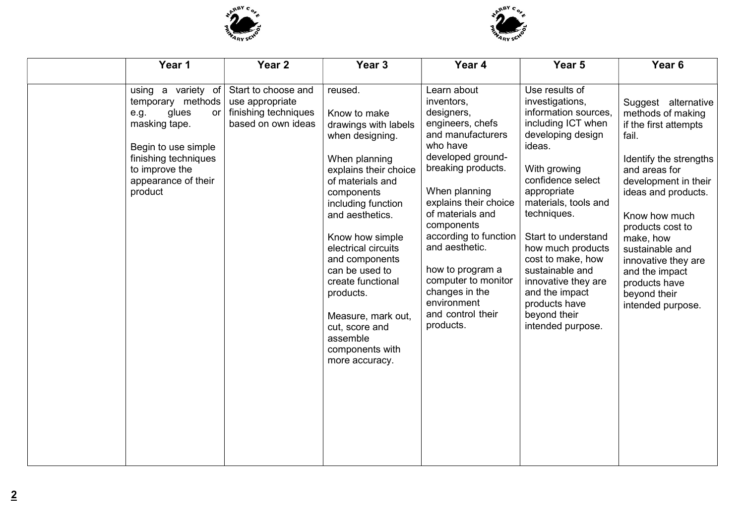



| Year 1                                                                                                                                                                             | Year <sub>2</sub>                                                                    | Year <sub>3</sub>                                                                                                                                                                                                                                                                                                                                                                                | Year 4                                                                                                                                                                                                                                                                                                                                                                       | Year 5                                                                                                                                                                                                                                                                                                                                                                                       | Year <sub>6</sub>                                                                                                                                                                                                                                                                                                                        |
|------------------------------------------------------------------------------------------------------------------------------------------------------------------------------------|--------------------------------------------------------------------------------------|--------------------------------------------------------------------------------------------------------------------------------------------------------------------------------------------------------------------------------------------------------------------------------------------------------------------------------------------------------------------------------------------------|------------------------------------------------------------------------------------------------------------------------------------------------------------------------------------------------------------------------------------------------------------------------------------------------------------------------------------------------------------------------------|----------------------------------------------------------------------------------------------------------------------------------------------------------------------------------------------------------------------------------------------------------------------------------------------------------------------------------------------------------------------------------------------|------------------------------------------------------------------------------------------------------------------------------------------------------------------------------------------------------------------------------------------------------------------------------------------------------------------------------------------|
| using a variety of<br>temporary methods<br>glues<br>e.g.<br>or<br>masking tape.<br>Begin to use simple<br>finishing techniques<br>to improve the<br>appearance of their<br>product | Start to choose and<br>use appropriate<br>finishing techniques<br>based on own ideas | reused.<br>Know to make<br>drawings with labels<br>when designing.<br>When planning<br>explains their choice<br>of materials and<br>components<br>including function<br>and aesthetics.<br>Know how simple<br>electrical circuits<br>and components<br>can be used to<br>create functional<br>products.<br>Measure, mark out,<br>cut, score and<br>assemble<br>components with<br>more accuracy. | Learn about<br>inventors,<br>designers,<br>engineers, chefs<br>and manufacturers<br>who have<br>developed ground-<br>breaking products.<br>When planning<br>explains their choice<br>of materials and<br>components<br>according to function<br>and aesthetic.<br>how to program a<br>computer to monitor<br>changes in the<br>environment<br>and control their<br>products. | Use results of<br>investigations,<br>information sources,<br>including ICT when<br>developing design<br>ideas.<br>With growing<br>confidence select<br>appropriate<br>materials, tools and<br>techniques.<br>Start to understand<br>how much products<br>cost to make, how<br>sustainable and<br>innovative they are<br>and the impact<br>products have<br>beyond their<br>intended purpose. | Suggest alternative<br>methods of making<br>if the first attempts<br>fail.<br>Identify the strengths<br>and areas for<br>development in their<br>ideas and products.<br>Know how much<br>products cost to<br>make, how<br>sustainable and<br>innovative they are<br>and the impact<br>products have<br>beyond their<br>intended purpose. |
|                                                                                                                                                                                    |                                                                                      |                                                                                                                                                                                                                                                                                                                                                                                                  |                                                                                                                                                                                                                                                                                                                                                                              |                                                                                                                                                                                                                                                                                                                                                                                              |                                                                                                                                                                                                                                                                                                                                          |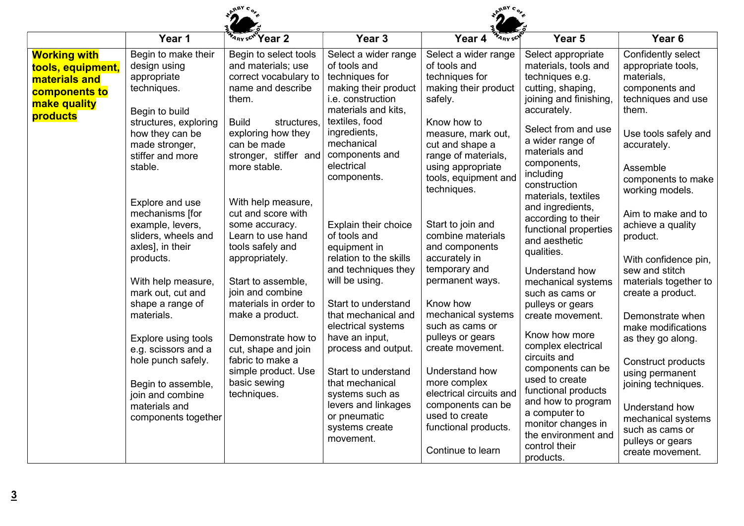|                                                                                                        |                                                                                                                         | <b>ABY C</b>                                                                                                                      |                                                                                                                                                     |                                                                                                                                               |                                                                                                                                                                                              |                                                                                                                                                                        |
|--------------------------------------------------------------------------------------------------------|-------------------------------------------------------------------------------------------------------------------------|-----------------------------------------------------------------------------------------------------------------------------------|-----------------------------------------------------------------------------------------------------------------------------------------------------|-----------------------------------------------------------------------------------------------------------------------------------------------|----------------------------------------------------------------------------------------------------------------------------------------------------------------------------------------------|------------------------------------------------------------------------------------------------------------------------------------------------------------------------|
|                                                                                                        | Year 1                                                                                                                  | ARY SCH Year 2                                                                                                                    | Year <sub>3</sub>                                                                                                                                   | Year 4<br>A <sub>RY</sub> SC                                                                                                                  | Year <sub>5</sub>                                                                                                                                                                            | Year <sub>6</sub>                                                                                                                                                      |
| <b>Working with</b><br>tools, equipment,<br>materials and<br>components to<br>make quality<br>products | Begin to make their<br>design using<br>appropriate<br>techniques.<br>Begin to build<br>structures, exploring            | Begin to select tools<br>and materials; use<br>correct vocabulary to<br>name and describe<br>them.<br><b>Build</b><br>structures. | Select a wider range<br>of tools and<br>techniques for<br>making their product<br><i>i.e.</i> construction<br>materials and kits.<br>textiles, food | Select a wider range<br>of tools and<br>techniques for<br>making their product<br>safely.<br>Know how to                                      | Select appropriate<br>materials, tools and<br>techniques e.g.<br>cutting, shaping,<br>joining and finishing,<br>accurately.                                                                  | Confidently select<br>appropriate tools,<br>materials,<br>components and<br>techniques and use<br>them.                                                                |
|                                                                                                        | how they can be<br>made stronger,<br>stiffer and more<br>stable.                                                        | exploring how they<br>can be made<br>stronger, stiffer and<br>more stable.                                                        | ingredients,<br>mechanical<br>components and<br>electrical<br>components.                                                                           | measure, mark out,<br>cut and shape a<br>range of materials,<br>using appropriate<br>tools, equipment and<br>techniques.                      | Select from and use<br>a wider range of<br>materials and<br>components,<br>including<br>construction<br>materials, textiles                                                                  | Use tools safely and<br>accurately.<br>Assemble<br>components to make<br>working models.                                                                               |
|                                                                                                        | Explore and use<br>mechanisms [for<br>example, levers,<br>sliders, wheels and<br>axles], in their<br>products.          | With help measure,<br>cut and score with<br>some accuracy.<br>Learn to use hand<br>tools safely and<br>appropriately.             | Explain their choice<br>of tools and<br>equipment in<br>relation to the skills<br>and techniques they                                               | Start to join and<br>combine materials<br>and components<br>accurately in<br>temporary and                                                    | and ingredients,<br>according to their<br>functional properties<br>and aesthetic<br>qualities.<br>Understand how                                                                             | Aim to make and to<br>achieve a quality<br>product.<br>With confidence pin,<br>sew and stitch                                                                          |
|                                                                                                        | With help measure,<br>mark out, cut and<br>shape a range of<br>materials.<br>Explore using tools<br>e.g. scissors and a | Start to assemble,<br>join and combine<br>materials in order to<br>make a product.<br>Demonstrate how to<br>cut, shape and join   | will be using.<br>Start to understand<br>that mechanical and<br>electrical systems<br>have an input,<br>process and output.                         | permanent ways.<br>Know how<br>mechanical systems<br>such as cams or<br>pulleys or gears<br>create movement.                                  | mechanical systems<br>such as cams or<br>pulleys or gears<br>create movement.<br>Know how more<br>complex electrical                                                                         | materials together to<br>create a product.<br>Demonstrate when<br>make modifications<br>as they go along.                                                              |
|                                                                                                        | hole punch safely.<br>Begin to assemble,<br>join and combine<br>materials and<br>components together                    | fabric to make a<br>simple product. Use<br>basic sewing<br>techniques.                                                            | Start to understand<br>that mechanical<br>systems such as<br>levers and linkages<br>or pneumatic<br>systems create<br>movement.                     | Understand how<br>more complex<br>electrical circuits and<br>components can be<br>used to create<br>functional products.<br>Continue to learn | circuits and<br>components can be<br>used to create<br>functional products<br>and how to program<br>a computer to<br>monitor changes in<br>the environment and<br>control their<br>products. | <b>Construct products</b><br>using permanent<br>joining techniques.<br>Understand how<br>mechanical systems<br>such as cams or<br>pulleys or gears<br>create movement. |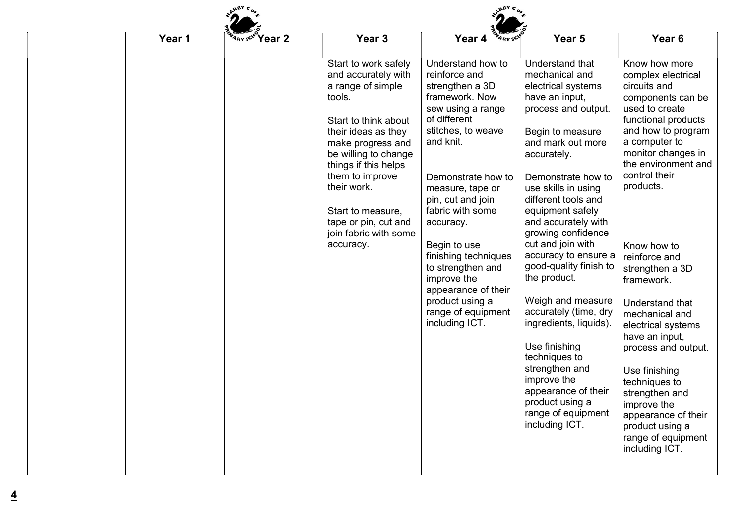| Year 1 | ARY SCN Year 2 | Year <sub>3</sub>                                                                                                                                                                                                                                                                                                   | Year 4<br><b>ARYSCY</b>                                                                                                                                                                                                                                                                                                                                                                                       | Year 5                                                                                                                                                                                                                                                                                                                                                                                                                                                                                                                                                                                                            | Year <sub>6</sub>                                                                                                                                                                                                                                                                                                                                                                                                                                                                                                                                             |  |
|--------|----------------|---------------------------------------------------------------------------------------------------------------------------------------------------------------------------------------------------------------------------------------------------------------------------------------------------------------------|---------------------------------------------------------------------------------------------------------------------------------------------------------------------------------------------------------------------------------------------------------------------------------------------------------------------------------------------------------------------------------------------------------------|-------------------------------------------------------------------------------------------------------------------------------------------------------------------------------------------------------------------------------------------------------------------------------------------------------------------------------------------------------------------------------------------------------------------------------------------------------------------------------------------------------------------------------------------------------------------------------------------------------------------|---------------------------------------------------------------------------------------------------------------------------------------------------------------------------------------------------------------------------------------------------------------------------------------------------------------------------------------------------------------------------------------------------------------------------------------------------------------------------------------------------------------------------------------------------------------|--|
|        |                | Start to work safely<br>and accurately with<br>a range of simple<br>tools.<br>Start to think about<br>their ideas as they<br>make progress and<br>be willing to change<br>things if this helps<br>them to improve<br>their work.<br>Start to measure,<br>tape or pin, cut and<br>join fabric with some<br>accuracy. | Understand how to<br>reinforce and<br>strengthen a 3D<br>framework. Now<br>sew using a range<br>of different<br>stitches, to weave<br>and knit.<br>Demonstrate how to<br>measure, tape or<br>pin, cut and join<br>fabric with some<br>accuracy.<br>Begin to use<br>finishing techniques<br>to strengthen and<br>improve the<br>appearance of their<br>product using a<br>range of equipment<br>including ICT. | Understand that<br>mechanical and<br>electrical systems<br>have an input,<br>process and output.<br>Begin to measure<br>and mark out more<br>accurately.<br>Demonstrate how to<br>use skills in using<br>different tools and<br>equipment safely<br>and accurately with<br>growing confidence<br>cut and join with<br>accuracy to ensure a<br>good-quality finish to<br>the product.<br>Weigh and measure<br>accurately (time, dry<br>ingredients, liquids).<br>Use finishing<br>techniques to<br>strengthen and<br>improve the<br>appearance of their<br>product using a<br>range of equipment<br>including ICT. | Know how more<br>complex electrical<br>circuits and<br>components can be<br>used to create<br>functional products<br>and how to program<br>a computer to<br>monitor changes in<br>the environment and<br>control their<br>products.<br>Know how to<br>reinforce and<br>strengthen a 3D<br>framework.<br>Understand that<br>mechanical and<br>electrical systems<br>have an input,<br>process and output.<br>Use finishing<br>techniques to<br>strengthen and<br>improve the<br>appearance of their<br>product using a<br>range of equipment<br>including ICT. |  |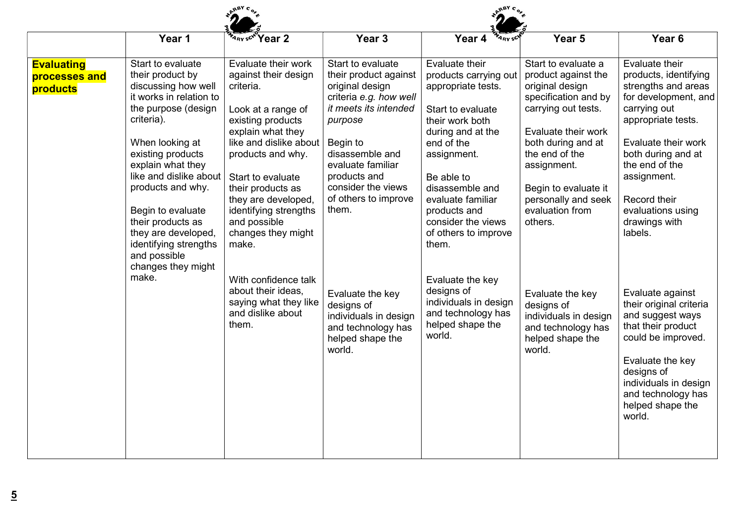|                                                | Year 1                                                                                                                                                                                                                                                                                                                                                                            | <b>Year 2</b><br><b>ARY SCM</b>                                                                                                                                                                                                                                                                                                                                                                                       | Year <sub>3</sub>                                                                                                                                                                                                                                                                                                                                                     | Year 4<br><b>ARY SC</b>                                                                                                                                                                                                                                                                                                                                                                             | Year <sub>5</sub>                                                                                                                                                                                                                                                                                                                                                                      | Year <sub>6</sub>                                                                                                                                                                                                                                                                                                                                                                                                                                                           |
|------------------------------------------------|-----------------------------------------------------------------------------------------------------------------------------------------------------------------------------------------------------------------------------------------------------------------------------------------------------------------------------------------------------------------------------------|-----------------------------------------------------------------------------------------------------------------------------------------------------------------------------------------------------------------------------------------------------------------------------------------------------------------------------------------------------------------------------------------------------------------------|-----------------------------------------------------------------------------------------------------------------------------------------------------------------------------------------------------------------------------------------------------------------------------------------------------------------------------------------------------------------------|-----------------------------------------------------------------------------------------------------------------------------------------------------------------------------------------------------------------------------------------------------------------------------------------------------------------------------------------------------------------------------------------------------|----------------------------------------------------------------------------------------------------------------------------------------------------------------------------------------------------------------------------------------------------------------------------------------------------------------------------------------------------------------------------------------|-----------------------------------------------------------------------------------------------------------------------------------------------------------------------------------------------------------------------------------------------------------------------------------------------------------------------------------------------------------------------------------------------------------------------------------------------------------------------------|
| <b>Evaluating</b><br>processes and<br>products | Start to evaluate<br>their product by<br>discussing how well<br>it works in relation to<br>the purpose (design<br>criteria).<br>When looking at<br>existing products<br>explain what they<br>like and dislike about<br>products and why.<br>Begin to evaluate<br>their products as<br>they are developed,<br>identifying strengths<br>and possible<br>changes they might<br>make. | Evaluate their work<br>against their design<br>criteria.<br>Look at a range of<br>existing products<br>explain what they<br>like and dislike about<br>products and why.<br>Start to evaluate<br>their products as<br>they are developed,<br>identifying strengths<br>and possible<br>changes they might<br>make.<br>With confidence talk<br>about their ideas,<br>saying what they like<br>and dislike about<br>them. | Start to evaluate<br>their product against<br>original design<br>criteria e.g. how well<br>it meets its intended<br>purpose<br>Begin to<br>disassemble and<br>evaluate familiar<br>products and<br>consider the views<br>of others to improve<br>them.<br>Evaluate the key<br>designs of<br>individuals in design<br>and technology has<br>helped shape the<br>world. | Evaluate their<br>products carrying out<br>appropriate tests.<br>Start to evaluate<br>their work both<br>during and at the<br>end of the<br>assignment.<br>Be able to<br>disassemble and<br>evaluate familiar<br>products and<br>consider the views<br>of others to improve<br>them.<br>Evaluate the key<br>designs of<br>individuals in design<br>and technology has<br>helped shape the<br>world. | Start to evaluate a<br>product against the<br>original design<br>specification and by<br>carrying out tests.<br>Evaluate their work<br>both during and at<br>the end of the<br>assignment.<br>Begin to evaluate it<br>personally and seek<br>evaluation from<br>others.<br>Evaluate the key<br>designs of<br>individuals in design<br>and technology has<br>helped shape the<br>world. | Evaluate their<br>products, identifying<br>strengths and areas<br>for development, and<br>carrying out<br>appropriate tests.<br>Evaluate their work<br>both during and at<br>the end of the<br>assignment.<br>Record their<br>evaluations using<br>drawings with<br>labels.<br>Evaluate against<br>their original criteria<br>and suggest ways<br>that their product<br>could be improved.<br>Evaluate the key<br>designs of<br>individuals in design<br>and technology has |
|                                                |                                                                                                                                                                                                                                                                                                                                                                                   |                                                                                                                                                                                                                                                                                                                                                                                                                       |                                                                                                                                                                                                                                                                                                                                                                       |                                                                                                                                                                                                                                                                                                                                                                                                     |                                                                                                                                                                                                                                                                                                                                                                                        | helped shape the<br>world.                                                                                                                                                                                                                                                                                                                                                                                                                                                  |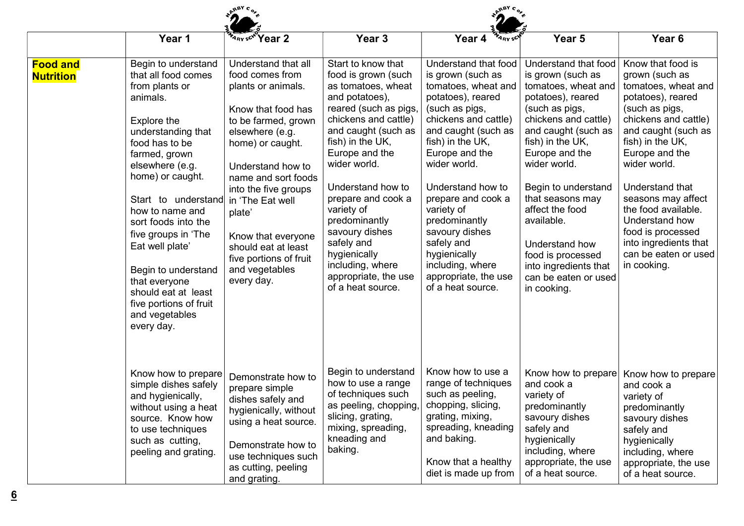|                                     | Year 1                                                                                                                                                                                                                                                                                                                                                                                                                      | ARY SCN Year 2                                                                                                                                                                                                                                                                                                                                            | Year <sub>3</sub>                                                                                                                                                                                                                                                                                                                                                                                          | Year 4<br><b>ARY SCY</b>                                                                                                                                                                                                                                                                                                                                                                                | Year 5                                                                                                                                                                                                                                                                                                                                                                                          | Year <sub>6</sub>                                                                                                                                                                                                                                                                                                                                                             |
|-------------------------------------|-----------------------------------------------------------------------------------------------------------------------------------------------------------------------------------------------------------------------------------------------------------------------------------------------------------------------------------------------------------------------------------------------------------------------------|-----------------------------------------------------------------------------------------------------------------------------------------------------------------------------------------------------------------------------------------------------------------------------------------------------------------------------------------------------------|------------------------------------------------------------------------------------------------------------------------------------------------------------------------------------------------------------------------------------------------------------------------------------------------------------------------------------------------------------------------------------------------------------|---------------------------------------------------------------------------------------------------------------------------------------------------------------------------------------------------------------------------------------------------------------------------------------------------------------------------------------------------------------------------------------------------------|-------------------------------------------------------------------------------------------------------------------------------------------------------------------------------------------------------------------------------------------------------------------------------------------------------------------------------------------------------------------------------------------------|-------------------------------------------------------------------------------------------------------------------------------------------------------------------------------------------------------------------------------------------------------------------------------------------------------------------------------------------------------------------------------|
| <b>Food and</b><br><b>Nutrition</b> | Begin to understand<br>that all food comes<br>from plants or<br>animals.<br>Explore the<br>understanding that<br>food has to be<br>farmed, grown<br>elsewhere (e.g.<br>home) or caught.<br>Start to understand<br>how to name and<br>sort foods into the<br>five groups in 'The<br>Eat well plate'<br>Begin to understand<br>that everyone<br>should eat at least<br>five portions of fruit<br>and vegetables<br>every day. | Understand that all<br>food comes from<br>plants or animals.<br>Know that food has<br>to be farmed, grown<br>elsewhere (e.g.<br>home) or caught.<br>Understand how to<br>name and sort foods<br>into the five groups<br>in 'The Eat well<br>plate'<br>Know that everyone<br>should eat at least<br>five portions of fruit<br>and vegetables<br>every day. | Start to know that<br>food is grown (such<br>as tomatoes, wheat<br>and potatoes),<br>reared (such as pigs,<br>chickens and cattle)<br>and caught (such as<br>fish) in the UK,<br>Europe and the<br>wider world.<br>Understand how to<br>prepare and cook a<br>variety of<br>predominantly<br>savoury dishes<br>safely and<br>hygienically<br>including, where<br>appropriate, the use<br>of a heat source. | Understand that food<br>is grown (such as<br>tomatoes, wheat and<br>potatoes), reared<br>(such as pigs,<br>chickens and cattle)<br>and caught (such as<br>fish) in the UK,<br>Europe and the<br>wider world.<br>Understand how to<br>prepare and cook a<br>variety of<br>predominantly<br>savoury dishes<br>safely and<br>hygienically<br>including, where<br>appropriate, the use<br>of a heat source. | Understand that food<br>is grown (such as<br>tomatoes, wheat and<br>potatoes), reared<br>(such as pigs,<br>chickens and cattle)<br>and caught (such as<br>fish) in the UK,<br>Europe and the<br>wider world.<br>Begin to understand<br>that seasons may<br>affect the food<br>available.<br>Understand how<br>food is processed<br>into ingredients that<br>can be eaten or used<br>in cooking. | Know that food is<br>grown (such as<br>tomatoes, wheat and<br>potatoes), reared<br>(such as pigs,<br>chickens and cattle)<br>and caught (such as<br>fish) in the UK,<br>Europe and the<br>wider world.<br>Understand that<br>seasons may affect<br>the food available.<br>Understand how<br>food is processed<br>into ingredients that<br>can be eaten or used<br>in cooking. |
|                                     | Know how to prepare<br>simple dishes safely<br>and hygienically,<br>without using a heat<br>source. Know how<br>to use techniques<br>such as cutting,<br>peeling and grating.                                                                                                                                                                                                                                               | Demonstrate how to<br>prepare simple<br>dishes safely and<br>hygienically, without<br>using a heat source.<br>Demonstrate how to<br>use techniques such<br>as cutting, peeling<br>and grating.                                                                                                                                                            | Begin to understand<br>how to use a range<br>of techniques such<br>as peeling, chopping,<br>slicing, grating,<br>mixing, spreading,<br>kneading and<br>baking.                                                                                                                                                                                                                                             | Know how to use a<br>range of techniques<br>such as peeling,<br>chopping, slicing,<br>grating, mixing,<br>spreading, kneading<br>and baking.<br>Know that a healthy<br>diet is made up from                                                                                                                                                                                                             | Know how to prepare<br>and cook a<br>variety of<br>predominantly<br>savoury dishes<br>safely and<br>hygienically<br>including, where<br>appropriate, the use<br>of a heat source.                                                                                                                                                                                                               | Know how to prepare<br>and cook a<br>variety of<br>predominantly<br>savoury dishes<br>safely and<br>hygienically<br>including, where<br>appropriate, the use<br>of a heat source.                                                                                                                                                                                             |